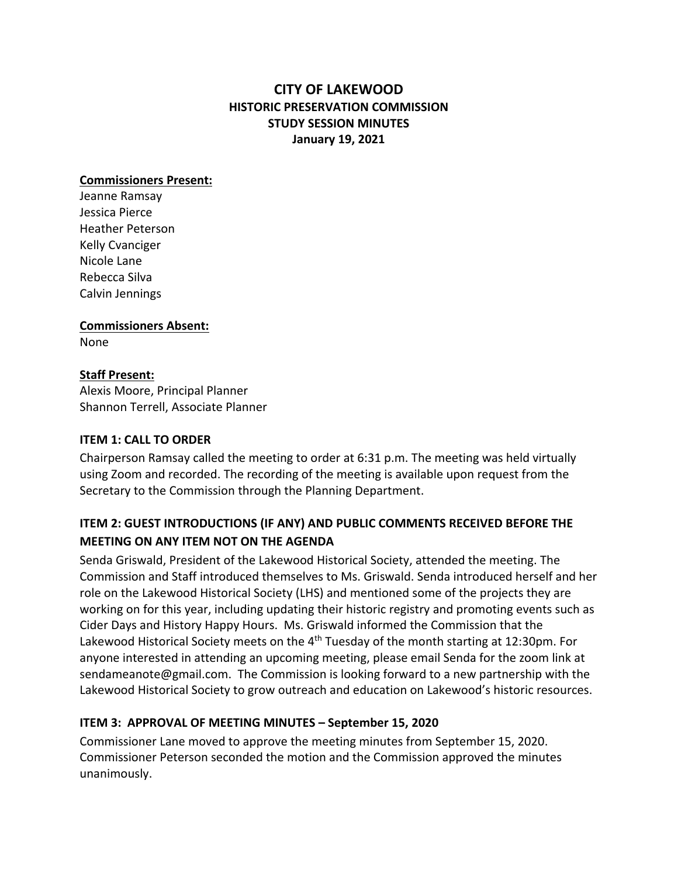# **CITY OF LAKEWOOD HISTORIC PRESERVATION COMMISSION STUDY SESSION MINUTES January 19, 2021**

### **Commissioners Present:**

Jeanne Ramsay Jessica Pierce Heather Peterson Kelly Cvanciger Nicole Lane Rebecca Silva Calvin Jennings

**Commissioners Absent:**

None

## **Staff Present:**

Alexis Moore, Principal Planner Shannon Terrell, Associate Planner

## **ITEM 1: CALL TO ORDER**

Chairperson Ramsay called the meeting to order at 6:31 p.m. The meeting was held virtually using Zoom and recorded. The recording of the meeting is available upon request from the Secretary to the Commission through the Planning Department.

# **ITEM 2: GUEST INTRODUCTIONS (IF ANY) AND PUBLIC COMMENTS RECEIVED BEFORE THE MEETING ON ANY ITEM NOT ON THE AGENDA**

Senda Griswald, President of the Lakewood Historical Society, attended the meeting. The Commission and Staff introduced themselves to Ms. Griswald. Senda introduced herself and her role on the Lakewood Historical Society (LHS) and mentioned some of the projects they are working on for this year, including updating their historic registry and promoting events such as Cider Days and History Happy Hours. Ms. Griswald informed the Commission that the Lakewood Historical Society meets on the  $4<sup>th</sup>$  Tuesday of the month starting at 12:30pm. For anyone interested in attending an upcoming meeting, please email Senda for the zoom link at sendameanote@gmail.com. The Commission is looking forward to a new partnership with the Lakewood Historical Society to grow outreach and education on Lakewood's historic resources.

## **ITEM 3: APPROVAL OF MEETING MINUTES – September 15, 2020**

Commissioner Lane moved to approve the meeting minutes from September 15, 2020. Commissioner Peterson seconded the motion and the Commission approved the minutes unanimously.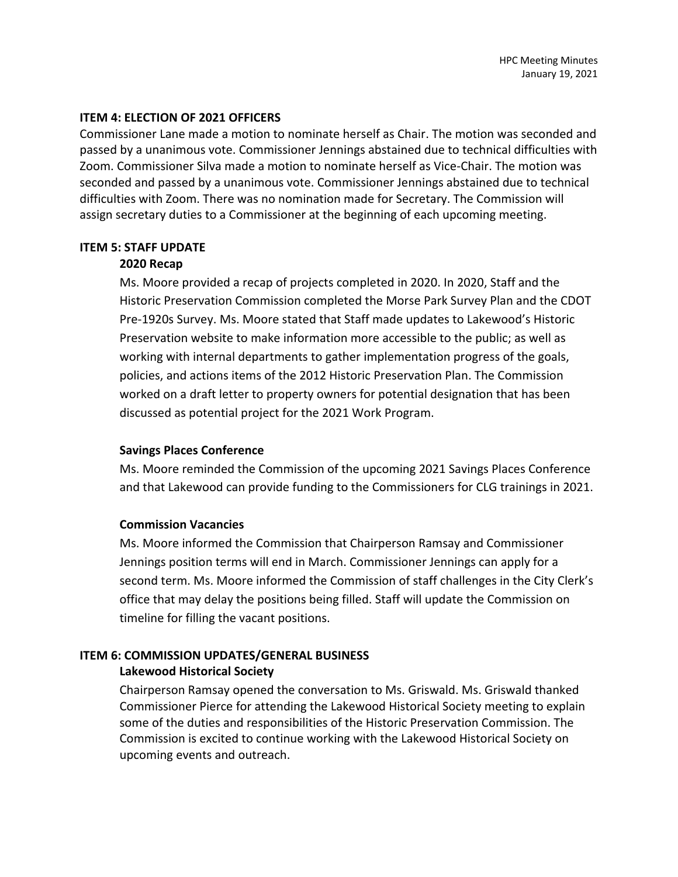#### **ITEM 4: ELECTION OF 2021 OFFICERS**

Commissioner Lane made a motion to nominate herself as Chair. The motion was seconded and passed by a unanimous vote. Commissioner Jennings abstained due to technical difficulties with Zoom. Commissioner Silva made a motion to nominate herself as Vice-Chair. The motion was seconded and passed by a unanimous vote. Commissioner Jennings abstained due to technical difficulties with Zoom. There was no nomination made for Secretary. The Commission will assign secretary duties to a Commissioner at the beginning of each upcoming meeting.

#### **ITEM 5: STAFF UPDATE**

### **2020 Recap**

Ms. Moore provided a recap of projects completed in 2020. In 2020, Staff and the Historic Preservation Commission completed the Morse Park Survey Plan and the CDOT Pre-1920s Survey. Ms. Moore stated that Staff made updates to Lakewood's Historic Preservation website to make information more accessible to the public; as well as working with internal departments to gather implementation progress of the goals, policies, and actions items of the 2012 Historic Preservation Plan. The Commission worked on a draft letter to property owners for potential designation that has been discussed as potential project for the 2021 Work Program.

### **Savings Places Conference**

Ms. Moore reminded the Commission of the upcoming 2021 Savings Places Conference and that Lakewood can provide funding to the Commissioners for CLG trainings in 2021.

### **Commission Vacancies**

Ms. Moore informed the Commission that Chairperson Ramsay and Commissioner Jennings position terms will end in March. Commissioner Jennings can apply for a second term. Ms. Moore informed the Commission of staff challenges in the City Clerk's office that may delay the positions being filled. Staff will update the Commission on timeline for filling the vacant positions.

# **ITEM 6: COMMISSION UPDATES/GENERAL BUSINESS**

### **Lakewood Historical Society**

Chairperson Ramsay opened the conversation to Ms. Griswald. Ms. Griswald thanked Commissioner Pierce for attending the Lakewood Historical Society meeting to explain some of the duties and responsibilities of the Historic Preservation Commission. The Commission is excited to continue working with the Lakewood Historical Society on upcoming events and outreach.